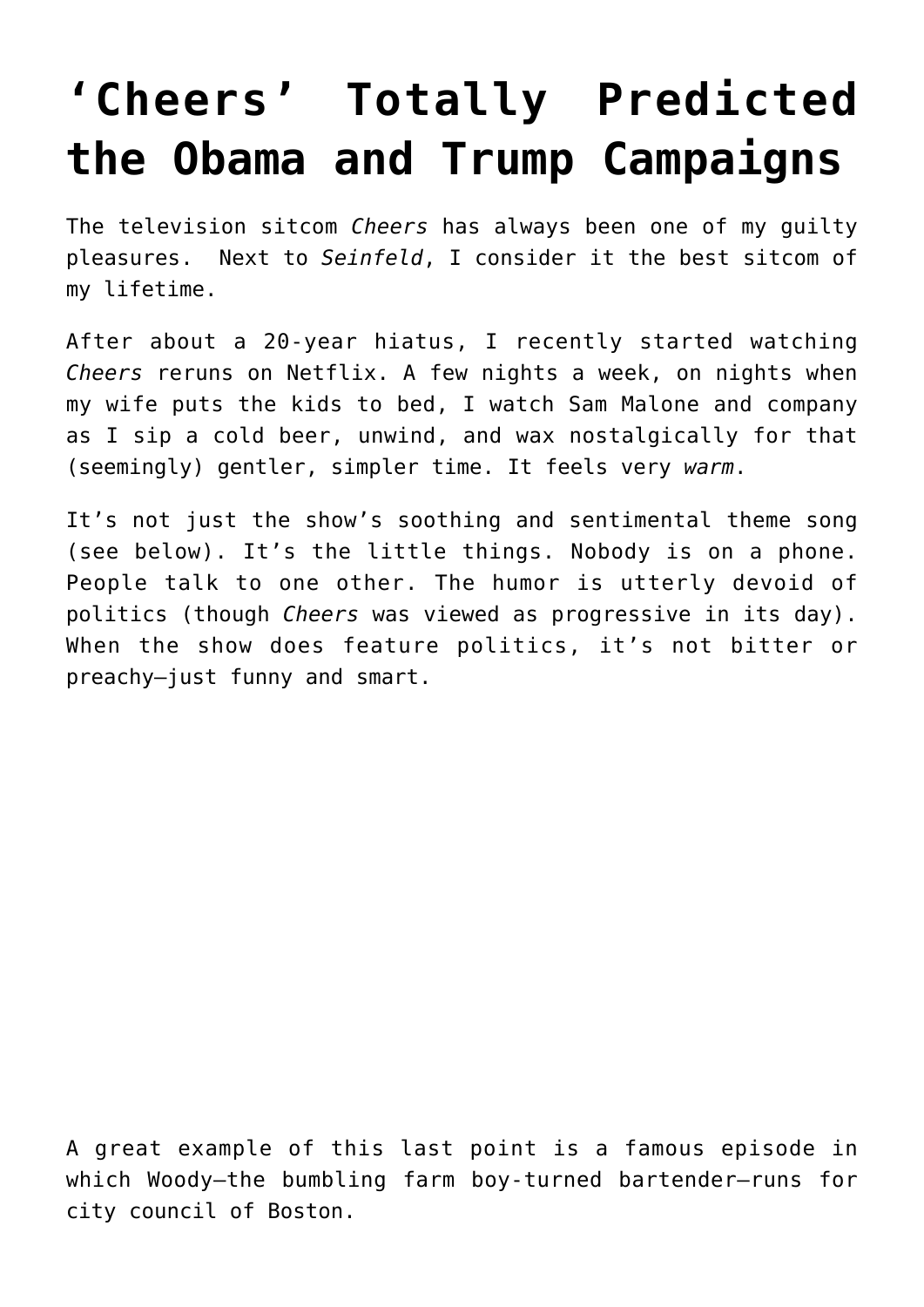## **['Cheers' Totally Predicted](https://intellectualtakeout.org/2017/05/cheers-totally-predicted-the-obama-and-trump-campaigns/) [the Obama and Trump Campaigns](https://intellectualtakeout.org/2017/05/cheers-totally-predicted-the-obama-and-trump-campaigns/)**

The television sitcom *Cheers* has always been one of my guilty pleasures. Next to *Seinfeld*, I consider it the best sitcom of my lifetime.

After about a 20-year hiatus, I recently started watching *Cheers* reruns on Netflix. A few nights a week, on nights when my wife puts the kids to bed, I watch Sam Malone and company as I sip a cold beer, unwind, and wax nostalgically for that (seemingly) gentler, simpler time. It feels very *warm*.

It's not just the show's soothing and sentimental theme song (see below). It's the little things. Nobody is on a phone. People talk to one other. The humor is utterly devoid of politics (though *Cheers* was viewed as progressive in its day). When the show does feature politics, it's not bitter or preachy—just funny and smart.

A great example of this last point is a famous episode in which Woody—the bumbling farm boy-turned bartender—runs for city council of Boston.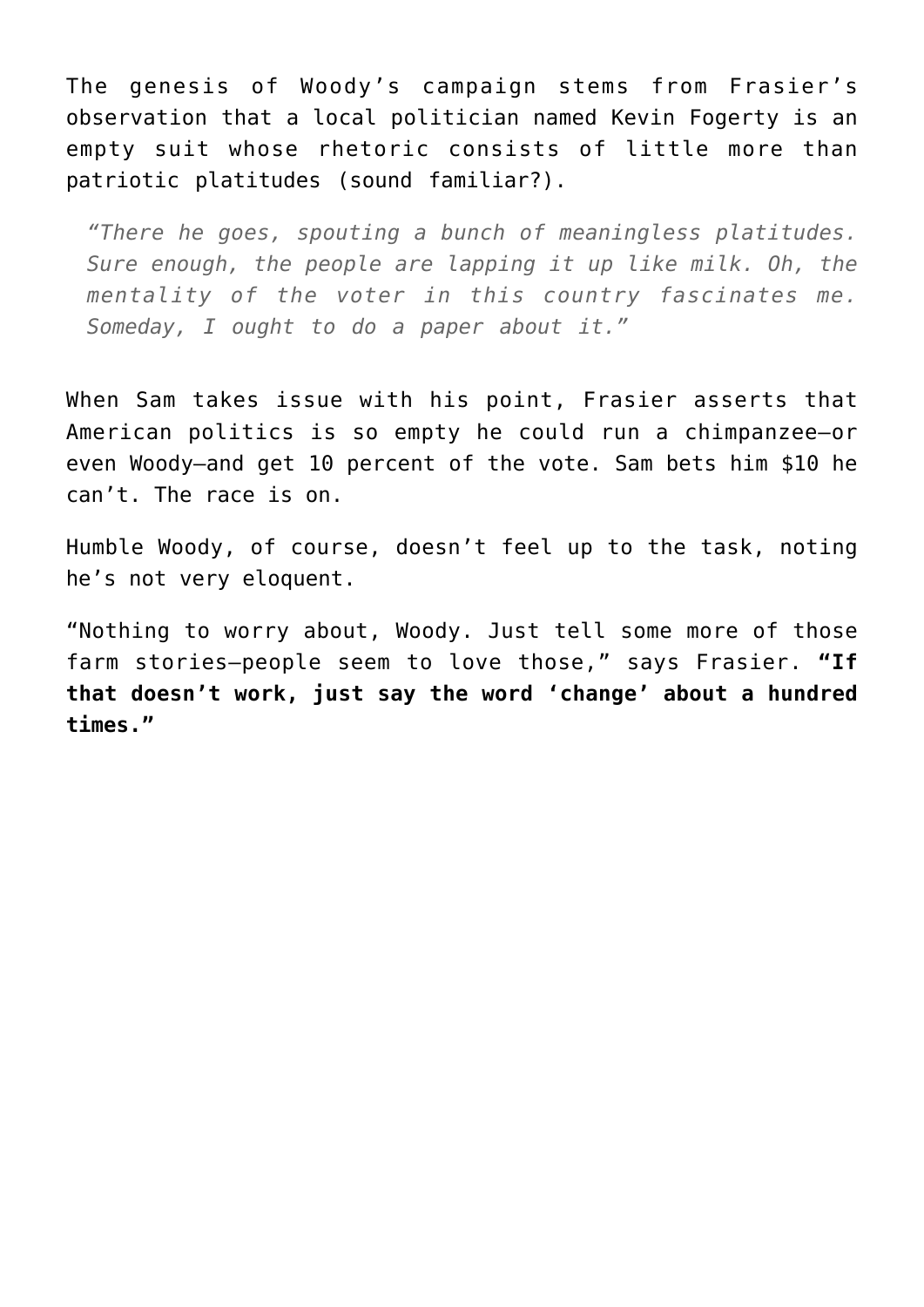The genesis of Woody's campaign stems from Frasier's observation that a local politician named Kevin Fogerty is an empty suit whose rhetoric consists of little more than patriotic platitudes (sound familiar?).

*"There he goes, spouting a bunch of meaningless platitudes. Sure enough, the people are lapping it up like milk. Oh, the mentality of the voter in this country fascinates me. Someday, I ought to do a paper about it."*

When Sam takes issue with his point, Frasier asserts that American politics is so empty he could run a chimpanzee—or even Woody—and get 10 percent of the vote. Sam bets him \$10 he can't. The race is on.

Humble Woody, of course, doesn't feel up to the task, noting he's not very eloquent.

"Nothing to worry about, Woody. Just tell some more of those farm stories—people seem to love those," says Frasier. **"If that doesn't work, just say the word 'change' about a hundred times."**